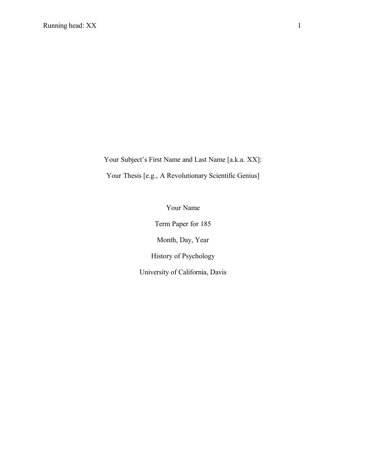Your Subject's First Name and Last Name [a.k.a. XX]:

Your Thesis [e.g., A Revolutionary Scientific Genius]

Your Name

Term Paper for 185

Month, Day, Year

History of Psychology

University of California, Davis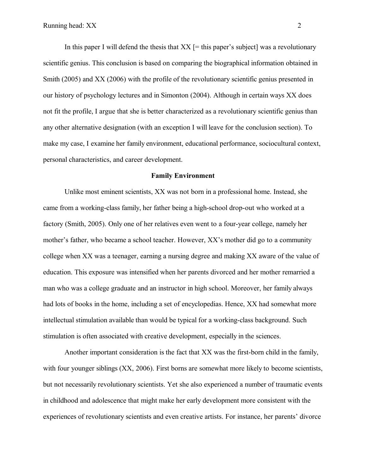In this paper I will defend the thesis that  $XX$  [= this paper's subject] was a revolutionary scientific genius. This conclusion is based on comparing the biographical information obtained in Smith (2005) and XX (2006) with the profile of the revolutionary scientific genius presented in our history of psychology lectures and in Simonton (2004). Although in certain ways XX does not fit the profile, I argue that she is better characterized as a revolutionary scientific genius than any other alternative designation (with an exception I will leave for the conclusion section). To make my case, I examine her family environment, educational performance, sociocultural context, personal characteristics, and career development.

#### **Family Environment**

Unlike most eminent scientists, XX was not born in a professional home. Instead, she came from a working-class family, her father being a high-school drop-out who worked at a factory (Smith, 2005). Only one of her relatives even went to a four-year college, namely her mother's father, who became a school teacher. However, XX's mother did go to a community college when XX was a teenager, earning a nursing degree and making XX aware of the value of education. This exposure was intensified when her parents divorced and her mother remarried a man who was a college graduate and an instructor in high school. Moreover, her family always had lots of books in the home, including a set of encyclopedias. Hence, XX had somewhat more intellectual stimulation available than would be typical for a working-class background. Such stimulation is often associated with creative development, especially in the sciences.

Another important consideration is the fact that XX was the first-born child in the family, with four younger siblings (XX, 2006). First borns are somewhat more likely to become scientists, but not necessarily revolutionary scientists. Yet she also experienced a number of traumatic events in childhood and adolescence that might make her early development more consistent with the experiences of revolutionary scientists and even creative artists. For instance, her parents' divorce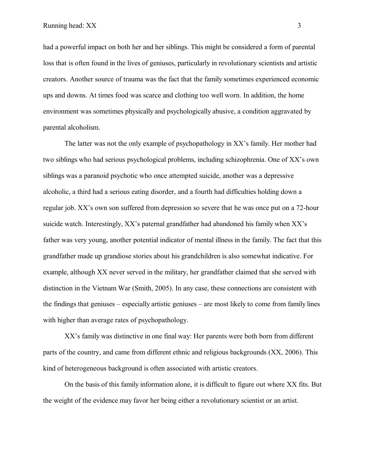had a powerful impact on both her and her siblings. This might be considered a form of parental loss that is often found in the lives of geniuses, particularly in revolutionary scientists and artistic creators. Another source of trauma was the fact that the family sometimes experienced economic ups and downs. At times food was scarce and clothing too well worn. In addition, the home environment was sometimes physically and psychologically abusive, a condition aggravated by parental alcoholism.

The latter was not the only example of psychopathology in XX's family. Her mother had two siblings who had serious psychological problems, including schizophrenia. One of XX's own siblings was a paranoid psychotic who once attempted suicide, another was a depressive alcoholic, a third had a serious eating disorder, and a fourth had difficulties holding down a regular job. XX's own son suffered from depression so severe that he was once put on a 72-hour suicide watch. Interestingly, XX's paternal grandfather had abandoned his family when XX's father was very young, another potential indicator of mental illness in the family. The fact that this grandfather made up grandiose stories about his grandchildren is also somewhat indicative. For example, although XX never served in the military, her grandfather claimed that she served with distinction in the Vietnam War (Smith, 2005). In any case, these connections are consistent with the findings that geniuses – especially artistic geniuses – are most likely to come from family lines with higher than average rates of psychopathology.

XX's family was distinctive in one final way: Her parents were both born from different parts of the country, and came from different ethnic and religious backgrounds (XX, 2006). This kind of heterogeneous background is often associated with artistic creators.

On the basis of this family information alone, it is difficult to figure out where XX fits. But the weight of the evidence may favor her being either a revolutionary scientist or an artist.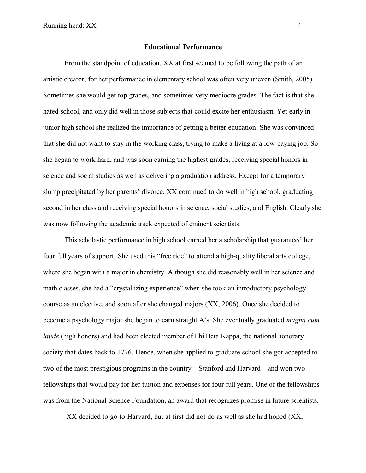### **Educational Performance**

From the standpoint of education, XX at first seemed to be following the path of an artistic creator, for her performance in elementary school was often very uneven (Smith, 2005). Sometimes she would get top grades, and sometimes very mediocre grades. The fact is that she hated school, and only did well in those subjects that could excite her enthusiasm. Yet early in junior high school she realized the importance of getting a better education. She was convinced that she did not want to stay in the working class, trying to make a living at a low-paying job. So she began to work hard, and was soon earning the highest grades, receiving special honors in science and social studies as well as delivering a graduation address. Except for a temporary slump precipitated by her parents' divorce, XX continued to do well in high school, graduating second in her class and receiving special honors in science, social studies, and English. Clearly she was now following the academic track expected of eminent scientists.

This scholastic performance in high school earned her a scholarship that guaranteed her four full years of support. She used this "free ride" to attend a high-quality liberal arts college, where she began with a major in chemistry. Although she did reasonably well in her science and math classes, she had a "crystallizing experience" when she took an introductory psychology course as an elective, and soon after she changed majors (XX, 2006). Once she decided to become a psychology major she began to earn straight A's. She eventually graduated *magna cum laude* (high honors) and had been elected member of Phi Beta Kappa, the national honorary society that dates back to 1776. Hence, when she applied to graduate school she got accepted to two of the most prestigious programs in the country – Stanford and Harvard – and won two fellowships that would pay for her tuition and expenses for four full years. One of the fellowships was from the National Science Foundation, an award that recognizes promise in future scientists.

XX decided to go to Harvard, but at first did not do as well as she had hoped (XX,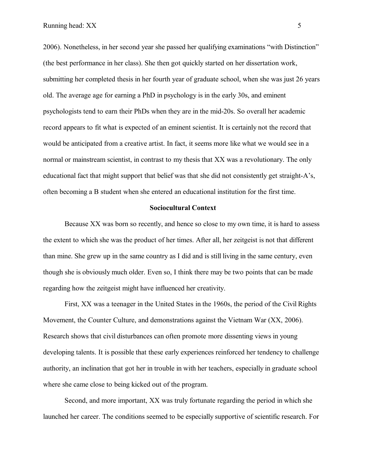2006). Nonetheless, in her second year she passed her qualifying examinations "with Distinction" (the best performance in her class). She then got quickly started on her dissertation work, submitting her completed thesis in her fourth year of graduate school, when she was just 26 years old. The average age for earning a PhD in psychology is in the early 30s, and eminent psychologists tend to earn their PhDs when they are in the mid-20s. So overall her academic record appears to fit what is expected of an eminent scientist. It is certainly not the record that would be anticipated from a creative artist. In fact, it seems more like what we would see in a normal or mainstream scientist, in contrast to my thesis that XX was a revolutionary. The only educational fact that might support that belief was that she did not consistently get straight-A's, often becoming a B student when she entered an educational institution for the first time.

## **Sociocultural Context**

Because XX was born so recently, and hence so close to my own time, it is hard to assess the extent to which she was the product of her times. After all, her zeitgeist is not that different than mine. She grew up in the same country as I did and is still living in the same century, even though she is obviously much older. Even so, I think there may be two points that can be made regarding how the zeitgeist might have influenced her creativity.

First, XX was a teenager in the United States in the 1960s, the period of the Civil Rights Movement, the Counter Culture, and demonstrations against the Vietnam War (XX, 2006). Research shows that civil disturbances can often promote more dissenting views in young developing talents. It is possible that these early experiences reinforced her tendency to challenge authority, an inclination that got her in trouble in with her teachers, especially in graduate school where she came close to being kicked out of the program.

Second, and more important, XX was truly fortunate regarding the period in which she launched her career. The conditions seemed to be especially supportive of scientific research. For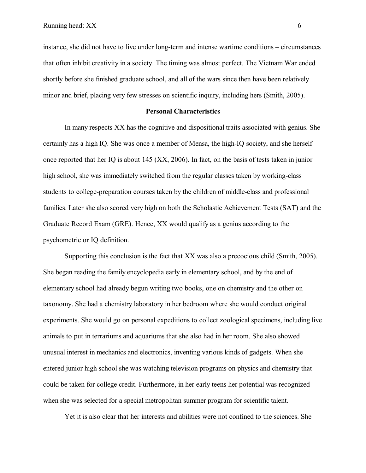instance, she did not have to live under long-term and intense wartime conditions – circumstances that often inhibit creativity in a society. The timing was almost perfect. The Vietnam War ended shortly before she finished graduate school, and all of the wars since then have been relatively minor and brief, placing very few stresses on scientific inquiry, including hers (Smith, 2005).

#### **Personal Characteristics**

In many respects XX has the cognitive and dispositional traits associated with genius. She certainly has a high IQ. She was once a member of Mensa, the high-IQ society, and she herself once reported that her IQ is about 145 (XX, 2006). In fact, on the basis of tests taken in junior high school, she was immediately switched from the regular classes taken by working-class students to college-preparation courses taken by the children of middle-class and professional families. Later she also scored very high on both the Scholastic Achievement Tests (SAT) and the Graduate Record Exam (GRE). Hence, XX would qualify as a genius according to the psychometric or IQ definition.

Supporting this conclusion is the fact that XX was also a precocious child (Smith, 2005). She began reading the family encyclopedia early in elementary school, and by the end of elementary school had already begun writing two books, one on chemistry and the other on taxonomy. She had a chemistry laboratory in her bedroom where she would conduct original experiments. She would go on personal expeditions to collect zoological specimens, including live animals to put in terrariums and aquariums that she also had in her room. She also showed unusual interest in mechanics and electronics, inventing various kinds of gadgets. When she entered junior high school she was watching television programs on physics and chemistry that could be taken for college credit. Furthermore, in her early teens her potential was recognized when she was selected for a special metropolitan summer program for scientific talent.

Yet it is also clear that her interests and abilities were not confined to the sciences. She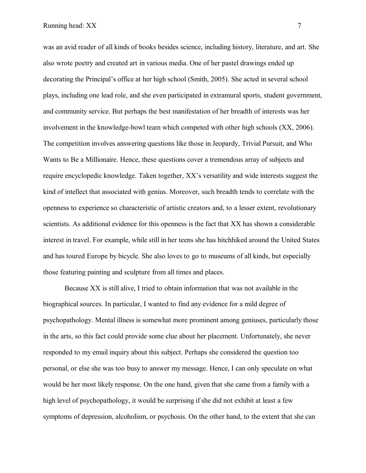was an avid reader of all kinds of books besides science, including history, literature, and art. She also wrote poetry and created art in various media. One of her pastel drawings ended up decorating the Principal's office at her high school (Smith, 2005). She acted in several school plays, including one lead role, and she even participated in extramural sports, student government, and community service. But perhaps the best manifestation of her breadth of interests was her involvement in the knowledge-bowl team which competed with other high schools (XX, 2006). The competition involves answering questions like those in Jeopardy, Trivial Pursuit, and Who Wants to Be a Millionaire. Hence, these questions cover a tremendous array of subjects and require encyclopedic knowledge. Taken together, XX's versatility and wide interests suggest the kind of intellect that associated with genius. Moreover, such breadth tends to correlate with the openness to experience so characteristic of artistic creators and, to a lesser extent, revolutionary scientists. As additional evidence for this openness is the fact that XX has shown a considerable interest in travel. For example, while still in her teens she has hitchhiked around the United States and has toured Europe by bicycle. She also loves to go to museums of all kinds, but especially those featuring painting and sculpture from all times and places.

Because XX is still alive, I tried to obtain information that was not available in the biographical sources. In particular, I wanted to find any evidence for a mild degree of psychopathology. Mental illness is somewhat more prominent among geniuses, particularly those in the arts, so this fact could provide some clue about her placement. Unfortunately, she never responded to my email inquiry about this subject. Perhaps she considered the question too personal, or else she was too busy to answer my message. Hence, I can only speculate on what would be her most likely response. On the one hand, given that she came from a family with a high level of psychopathology, it would be surprising if she did not exhibit at least a few symptoms of depression, alcoholism, or psychosis. On the other hand, to the extent that she can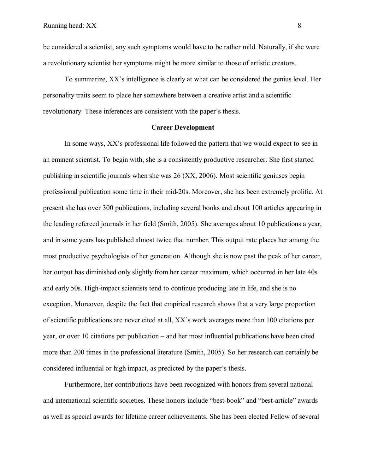be considered a scientist, any such symptoms would have to be rather mild. Naturally, if she were a revolutionary scientist her symptoms might be more similar to those of artistic creators.

To summarize, XX's intelligence is clearly at what can be considered the genius level. Her personality traits seem to place her somewhere between a creative artist and a scientific revolutionary. These inferences are consistent with the paper's thesis.

#### **Career Development**

In some ways, XX's professional life followed the pattern that we would expect to see in an eminent scientist. To begin with, she is a consistently productive researcher. She first started publishing in scientific journals when she was 26 (XX, 2006). Most scientific geniuses begin professional publication some time in their mid-20s. Moreover, she has been extremely prolific. At present she has over 300 publications, including several books and about 100 articles appearing in the leading refereed journals in her field (Smith, 2005). She averages about 10 publications a year, and in some years has published almost twice that number. This output rate places her among the most productive psychologists of her generation. Although she is now past the peak of her career, her output has diminished only slightly from her career maximum, which occurred in her late 40s and early 50s. High-impact scientists tend to continue producing late in life, and she is no exception. Moreover, despite the fact that empirical research shows that a very large proportion of scientific publications are never cited at all, XX's work averages more than 100 citations per year, or over 10 citations per publication – and her most influential publications have been cited more than 200 times in the professional literature (Smith, 2005). So her research can certainly be considered influential or high impact, as predicted by the paper's thesis.

Furthermore, her contributions have been recognized with honors from several national and international scientific societies. These honors include "best-book" and "best-article" awards as well as special awards for lifetime career achievements. She has been elected Fellow of several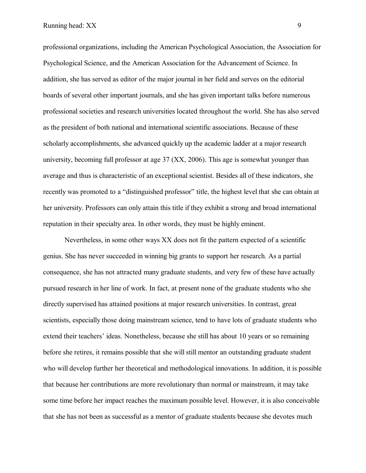professional organizations, including the American Psychological Association, the Association for Psychological Science, and the American Association for the Advancement of Science. In addition, she has served as editor of the major journal in her field and serves on the editorial boards of several other important journals, and she has given important talks before numerous professional societies and research universities located throughout the world. She has also served as the president of both national and international scientific associations. Because of these scholarly accomplishments, she advanced quickly up the academic ladder at a major research university, becoming full professor at age 37 (XX, 2006). This age is somewhat younger than average and thus is characteristic of an exceptional scientist. Besides all of these indicators, she recently was promoted to a "distinguished professor" title, the highest level that she can obtain at her university. Professors can only attain this title if they exhibit a strong and broad international reputation in their specialty area. In other words, they must be highly eminent.

Nevertheless, in some other ways XX does not fit the pattern expected of a scientific genius. She has never succeeded in winning big grants to support her research. As a partial consequence, she has not attracted many graduate students, and very few of these have actually pursued research in her line of work. In fact, at present none of the graduate students who she directly supervised has attained positions at major research universities. In contrast, great scientists, especially those doing mainstream science, tend to have lots of graduate students who extend their teachers' ideas. Nonetheless, because she still has about 10 years or so remaining before she retires, it remains possible that she will still mentor an outstanding graduate student who will develop further her theoretical and methodological innovations. In addition, it is possible that because her contributions are more revolutionary than normal or mainstream, it may take some time before her impact reaches the maximum possible level. However, it is also conceivable that she has not been as successful as a mentor of graduate students because she devotes much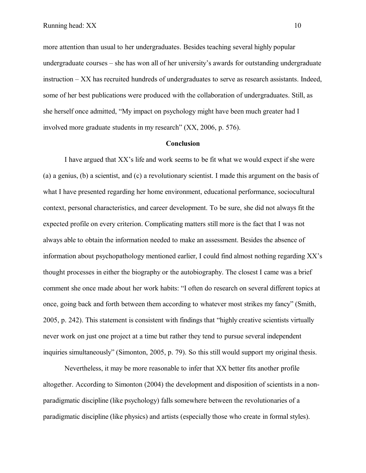more attention than usual to her undergraduates. Besides teaching several highly popular undergraduate courses – she has won all of her university's awards for outstanding undergraduate instruction – XX has recruited hundreds of undergraduates to serve as research assistants. Indeed, some of her best publications were produced with the collaboration of undergraduates. Still, as she herself once admitted, "My impact on psychology might have been much greater had I involved more graduate students in my research" (XX, 2006, p. 576).

#### **Conclusion**

I have argued that XX's life and work seems to be fit what we would expect if she were (a) a genius, (b) a scientist, and (c) a revolutionary scientist. I made this argument on the basis of what I have presented regarding her home environment, educational performance, sociocultural context, personal characteristics, and career development. To be sure, she did not always fit the expected profile on every criterion. Complicating matters still more is the fact that I was not always able to obtain the information needed to make an assessment. Besides the absence of information about psychopathology mentioned earlier, I could find almost nothing regarding XX's thought processes in either the biography or the autobiography. The closest I came was a brief comment she once made about her work habits: "I often do research on several different topics at once, going back and forth between them according to whatever most strikes my fancy" (Smith, 2005, p. 242). This statement is consistent with findings that "highly creative scientists virtually never work on just one project at a time but rather they tend to pursue several independent inquiries simultaneously" (Simonton, 2005, p. 79). So this still would support my original thesis.

Nevertheless, it may be more reasonable to infer that XX better fits another profile altogether. According to Simonton (2004) the development and disposition of scientists in a nonparadigmatic discipline (like psychology) falls somewhere between the revolutionaries of a paradigmatic discipline (like physics) and artists (especially those who create in formal styles).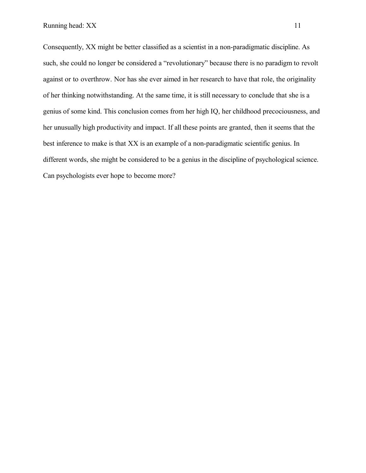Consequently, XX might be better classified as a scientist in a non-paradigmatic discipline. As such, she could no longer be considered a "revolutionary" because there is no paradigm to revolt against or to overthrow. Nor has she ever aimed in her research to have that role, the originality of her thinking notwithstanding. At the same time, it is still necessary to conclude that she is a genius of some kind. This conclusion comes from her high IQ, her childhood precociousness, and her unusually high productivity and impact. If all these points are granted, then it seems that the best inference to make is that XX is an example of a non-paradigmatic scientific genius. In different words, she might be considered to be a genius in the discipline of psychological science. Can psychologists ever hope to become more?